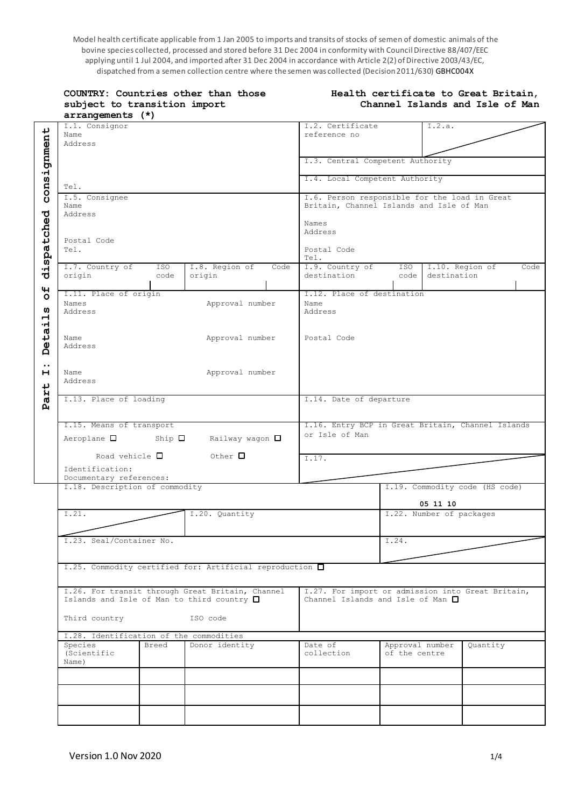Model health certificate applicable from 1 Jan 2005 to imports and transits of stocks of semen of domestic animals of the bovine species collected, processed and stored before 31 Dec 2004 in conformity with Council Directive 88/407/EEC applying until 1 Jul 2004, and imported after 31 Dec 2004 in accordance with Article 2(2) of Directive 2003/43/EC, dispatched from a semen collection centre where the semen was collected (Decision 2011/630) GBHC004X

| COUNTRY: Countries other than those<br>subject to transition import<br>arrangements (*)                | Health certificate to Great Britain,<br>Channel Islands and Isle of Man |                                                                                                                                      |                                  |                          |                                |      |
|--------------------------------------------------------------------------------------------------------|-------------------------------------------------------------------------|--------------------------------------------------------------------------------------------------------------------------------------|----------------------------------|--------------------------|--------------------------------|------|
| I.1. Consignor<br>Name<br>Address                                                                      |                                                                         | I.2. Certificate<br>reference no                                                                                                     |                                  | I.2.a.                   |                                |      |
|                                                                                                        |                                                                         | I.3. Central Competent Authority                                                                                                     |                                  |                          |                                |      |
| Tel.                                                                                                   |                                                                         | I.4. Local Competent Authority                                                                                                       |                                  |                          |                                |      |
| I.5. Consignee<br>Name<br>Address<br>Postal Code<br>Tel.                                               |                                                                         | I.6. Person responsible for the load in Great<br>Britain, Channel Islands and Isle of Man<br>Names<br>Address<br>Postal Code<br>Tel. |                                  |                          |                                |      |
| I.7. Country of<br>ISO<br>origin<br>code                                                               | I.8. Region of<br>Code<br>origin                                        | I.9. Country of<br>destination                                                                                                       | ISO  <br>code                    | destination              | I.10. Region of                | Code |
| I.11. Place of origin<br>Names<br>Address                                                              | Approval number                                                         | I.12. Place of destination<br>Name<br>Address                                                                                        |                                  |                          |                                |      |
| Name<br>Address                                                                                        | Approval number                                                         | Postal Code                                                                                                                          |                                  |                          |                                |      |
| Name<br>Address                                                                                        | Approval number                                                         |                                                                                                                                      |                                  |                          |                                |      |
| I.13. Place of loading                                                                                 |                                                                         | I.14. Date of departure                                                                                                              |                                  |                          |                                |      |
| I.15. Means of transport<br>Ship $\square$<br>$Aeroplane$ $\square$<br>Road vehicle $\square$          | Railway wagon □<br>Other $\square$                                      | I.16. Entry BCP in Great Britain, Channel Islands<br>or Isle of Man<br>I.17.                                                         |                                  |                          |                                |      |
| Identification:<br>Documentary references:                                                             |                                                                         |                                                                                                                                      |                                  |                          |                                |      |
| I.18. Description of commodity                                                                         |                                                                         |                                                                                                                                      |                                  | 05 11 10                 | I.19. Commodity code (HS code) |      |
| I.21.                                                                                                  | I.20. Quantity                                                          |                                                                                                                                      |                                  | I.22. Number of packages |                                |      |
| I.23. Seal/Container No.                                                                               |                                                                         |                                                                                                                                      | I.24.                            |                          |                                |      |
| I.25. Commodity certified for: Artificial reproduction □                                               |                                                                         |                                                                                                                                      |                                  |                          |                                |      |
| I.26. For transit through Great Britain, Channel<br>Islands and Isle of Man to third country $\square$ |                                                                         | I.27. For import or admission into Great Britain,<br>Channel Islands and Isle of Man $\Box$                                          |                                  |                          |                                |      |
| Third country                                                                                          | ISO code                                                                |                                                                                                                                      |                                  |                          |                                |      |
| I.28. Identification of the commodities<br>Species<br>Breed<br>(Scientific<br>Name)                    | Donor identity                                                          | Date of<br>collection                                                                                                                | Approval number<br>of the centre |                          | Quantity                       |      |
|                                                                                                        |                                                                         |                                                                                                                                      |                                  |                          |                                |      |
|                                                                                                        |                                                                         |                                                                                                                                      |                                  |                          |                                |      |
|                                                                                                        |                                                                         |                                                                                                                                      |                                  |                          |                                |      |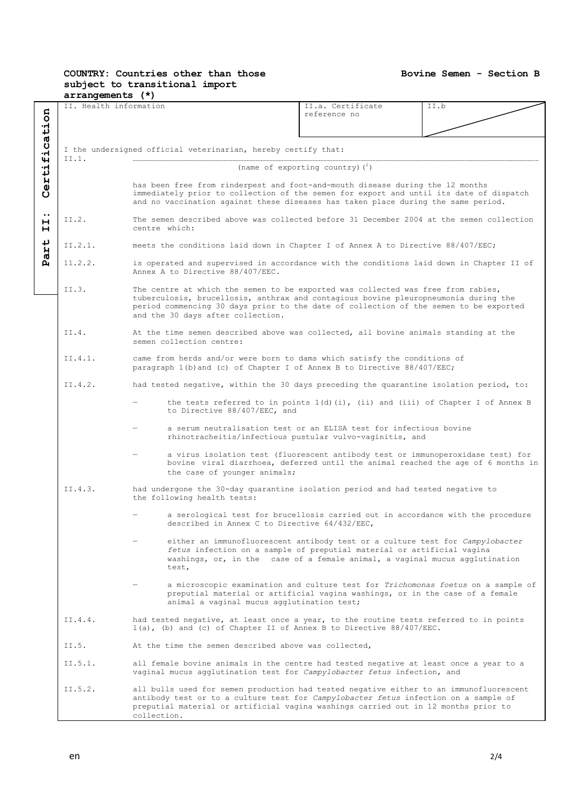## **COUNTRY: Countries other than those subject to transitional import**

### **Bovine Semen - Section B**

| II. Health information<br>II.a. Certificate<br>II.b<br>5<br>reference no<br>Ĕ<br>fica <sup>-</sup><br>I the undersigned official veterinarian, hereby certify that:<br>II.1.<br>Certi<br>(name of exporting country) $(^2)$<br>has been free from rinderpest and foot-and-mouth disease during the 12 months<br>immediately prior to collection of the semen for export and until its date of dispatch<br>and no vaccination against these diseases has taken place during the same period.<br>$\ddot{\phantom{0}}$<br>The semen described above was collected before 31 December 2004 at the semen collection<br>II.2.<br>н<br>centre which:<br>н<br>art<br>II.2.1.<br>meets the conditions laid down in Chapter I of Annex A to Directive 88/407/EEC;<br>д<br>11.2.2.<br>is operated and supervised in accordance with the conditions laid down in Chapter II of<br>Annex A to Directive 88/407/EEC.<br>II.3.<br>The centre at which the semen to be exported was collected was free from rabies,<br>tuberculosis, brucellosis, anthrax and contagious bovine pleuropneumonia during the<br>period commencing 30 days prior to the date of collection of the semen to be exported<br>and the 30 days after collection.<br>TT.4.<br>At the time semen described above was collected, all bovine animals standing at the<br>semen collection centre:<br>II.4.1.<br>came from herds and/or were born to dams which satisfy the conditions of<br>paragraph 1(b) and (c) of Chapter I of Annex B to Directive 88/407/EEC;<br>II.4.2.<br>had tested negative, within the 30 days preceding the quarantine isolation period, to:<br>the tests referred to in points $1(d)(i)$ , (ii) and (iii) of Chapter I of Annex B<br>to Directive 88/407/EEC, and<br>a serum neutralisation test or an ELISA test for infectious bovine<br>rhinotracheitis/infectious pustular vulvo-vaginitis, and<br>a virus isolation test (fluorescent antibody test or immunoperoxidase test) for<br>bovine viral diarrhoea, deferred until the animal reached the age of 6 months in<br>the case of younger animals;<br>II.4.3.<br>had undergone the 30-day quarantine isolation period and had tested negative to<br>the following health tests:<br>a serological test for brucellosis carried out in accordance with the procedure<br>described in Annex C to Directive 64/432/EEC,<br>either an immunofluorescent antibody test or a culture test for Campylobacter<br>fetus infection on a sample of preputial material or artificial vagina<br>washings, or, in the case of a female animal, a vaginal mucus agglutination<br>test,<br>a microscopic examination and culture test for Trichomonas foetus on a sample of<br>preputial material or artificial vagina washings, or in the case of a female<br>animal a vaginal mucus agglutination test;<br>II. $4.4$ .<br>had tested negative, at least once a year, to the routine tests referred to in points<br>$1(a)$ , (b) and (c) of Chapter II of Annex B to Directive 88/407/EEC.<br>II.5.<br>At the time the semen described above was collected,<br>II.5.1.<br>all female bovine animals in the centre had tested negative at least once a year to a<br>vaginal mucus agglutination test for <i>Campylobacter fetus</i> infection, and<br>II.5.2.<br>all bulls used for semen production had tested negative either to an immunofluorescent<br>antibody test or to a culture test for <i>Campylobacter fetus</i> infection on a sample of<br>preputial material or artificial vagina washings carried out in 12 months prior to |  | $arrangements$ $(*)$ |             |  |  |  |  |  |
|--------------------------------------------------------------------------------------------------------------------------------------------------------------------------------------------------------------------------------------------------------------------------------------------------------------------------------------------------------------------------------------------------------------------------------------------------------------------------------------------------------------------------------------------------------------------------------------------------------------------------------------------------------------------------------------------------------------------------------------------------------------------------------------------------------------------------------------------------------------------------------------------------------------------------------------------------------------------------------------------------------------------------------------------------------------------------------------------------------------------------------------------------------------------------------------------------------------------------------------------------------------------------------------------------------------------------------------------------------------------------------------------------------------------------------------------------------------------------------------------------------------------------------------------------------------------------------------------------------------------------------------------------------------------------------------------------------------------------------------------------------------------------------------------------------------------------------------------------------------------------------------------------------------------------------------------------------------------------------------------------------------------------------------------------------------------------------------------------------------------------------------------------------------------------------------------------------------------------------------------------------------------------------------------------------------------------------------------------------------------------------------------------------------------------------------------------------------------------------------------------------------------------------------------------------------------------------------------------------------------------------------------------------------------------------------------------------------------------------------------------------------------------------------------------------------------------------------------------------------------------------------------------------------------------------------------------------------------------------------------------------------------------------------------------------------------------------------------------------------------------------------------------------------------------------------------------------------------------------------------------------------------------------------------------------------------------------------------------------------------------------------------------------------------------------------------------------------------------------------------------------------------------------------------------------------------|--|----------------------|-------------|--|--|--|--|--|
|                                                                                                                                                                                                                                                                                                                                                                                                                                                                                                                                                                                                                                                                                                                                                                                                                                                                                                                                                                                                                                                                                                                                                                                                                                                                                                                                                                                                                                                                                                                                                                                                                                                                                                                                                                                                                                                                                                                                                                                                                                                                                                                                                                                                                                                                                                                                                                                                                                                                                                                                                                                                                                                                                                                                                                                                                                                                                                                                                                                                                                                                                                                                                                                                                                                                                                                                                                                                                                                                                                                                                                    |  |                      |             |  |  |  |  |  |
|                                                                                                                                                                                                                                                                                                                                                                                                                                                                                                                                                                                                                                                                                                                                                                                                                                                                                                                                                                                                                                                                                                                                                                                                                                                                                                                                                                                                                                                                                                                                                                                                                                                                                                                                                                                                                                                                                                                                                                                                                                                                                                                                                                                                                                                                                                                                                                                                                                                                                                                                                                                                                                                                                                                                                                                                                                                                                                                                                                                                                                                                                                                                                                                                                                                                                                                                                                                                                                                                                                                                                                    |  |                      |             |  |  |  |  |  |
|                                                                                                                                                                                                                                                                                                                                                                                                                                                                                                                                                                                                                                                                                                                                                                                                                                                                                                                                                                                                                                                                                                                                                                                                                                                                                                                                                                                                                                                                                                                                                                                                                                                                                                                                                                                                                                                                                                                                                                                                                                                                                                                                                                                                                                                                                                                                                                                                                                                                                                                                                                                                                                                                                                                                                                                                                                                                                                                                                                                                                                                                                                                                                                                                                                                                                                                                                                                                                                                                                                                                                                    |  |                      |             |  |  |  |  |  |
|                                                                                                                                                                                                                                                                                                                                                                                                                                                                                                                                                                                                                                                                                                                                                                                                                                                                                                                                                                                                                                                                                                                                                                                                                                                                                                                                                                                                                                                                                                                                                                                                                                                                                                                                                                                                                                                                                                                                                                                                                                                                                                                                                                                                                                                                                                                                                                                                                                                                                                                                                                                                                                                                                                                                                                                                                                                                                                                                                                                                                                                                                                                                                                                                                                                                                                                                                                                                                                                                                                                                                                    |  |                      |             |  |  |  |  |  |
|                                                                                                                                                                                                                                                                                                                                                                                                                                                                                                                                                                                                                                                                                                                                                                                                                                                                                                                                                                                                                                                                                                                                                                                                                                                                                                                                                                                                                                                                                                                                                                                                                                                                                                                                                                                                                                                                                                                                                                                                                                                                                                                                                                                                                                                                                                                                                                                                                                                                                                                                                                                                                                                                                                                                                                                                                                                                                                                                                                                                                                                                                                                                                                                                                                                                                                                                                                                                                                                                                                                                                                    |  |                      |             |  |  |  |  |  |
|                                                                                                                                                                                                                                                                                                                                                                                                                                                                                                                                                                                                                                                                                                                                                                                                                                                                                                                                                                                                                                                                                                                                                                                                                                                                                                                                                                                                                                                                                                                                                                                                                                                                                                                                                                                                                                                                                                                                                                                                                                                                                                                                                                                                                                                                                                                                                                                                                                                                                                                                                                                                                                                                                                                                                                                                                                                                                                                                                                                                                                                                                                                                                                                                                                                                                                                                                                                                                                                                                                                                                                    |  |                      |             |  |  |  |  |  |
|                                                                                                                                                                                                                                                                                                                                                                                                                                                                                                                                                                                                                                                                                                                                                                                                                                                                                                                                                                                                                                                                                                                                                                                                                                                                                                                                                                                                                                                                                                                                                                                                                                                                                                                                                                                                                                                                                                                                                                                                                                                                                                                                                                                                                                                                                                                                                                                                                                                                                                                                                                                                                                                                                                                                                                                                                                                                                                                                                                                                                                                                                                                                                                                                                                                                                                                                                                                                                                                                                                                                                                    |  |                      |             |  |  |  |  |  |
|                                                                                                                                                                                                                                                                                                                                                                                                                                                                                                                                                                                                                                                                                                                                                                                                                                                                                                                                                                                                                                                                                                                                                                                                                                                                                                                                                                                                                                                                                                                                                                                                                                                                                                                                                                                                                                                                                                                                                                                                                                                                                                                                                                                                                                                                                                                                                                                                                                                                                                                                                                                                                                                                                                                                                                                                                                                                                                                                                                                                                                                                                                                                                                                                                                                                                                                                                                                                                                                                                                                                                                    |  |                      |             |  |  |  |  |  |
|                                                                                                                                                                                                                                                                                                                                                                                                                                                                                                                                                                                                                                                                                                                                                                                                                                                                                                                                                                                                                                                                                                                                                                                                                                                                                                                                                                                                                                                                                                                                                                                                                                                                                                                                                                                                                                                                                                                                                                                                                                                                                                                                                                                                                                                                                                                                                                                                                                                                                                                                                                                                                                                                                                                                                                                                                                                                                                                                                                                                                                                                                                                                                                                                                                                                                                                                                                                                                                                                                                                                                                    |  |                      |             |  |  |  |  |  |
|                                                                                                                                                                                                                                                                                                                                                                                                                                                                                                                                                                                                                                                                                                                                                                                                                                                                                                                                                                                                                                                                                                                                                                                                                                                                                                                                                                                                                                                                                                                                                                                                                                                                                                                                                                                                                                                                                                                                                                                                                                                                                                                                                                                                                                                                                                                                                                                                                                                                                                                                                                                                                                                                                                                                                                                                                                                                                                                                                                                                                                                                                                                                                                                                                                                                                                                                                                                                                                                                                                                                                                    |  |                      |             |  |  |  |  |  |
|                                                                                                                                                                                                                                                                                                                                                                                                                                                                                                                                                                                                                                                                                                                                                                                                                                                                                                                                                                                                                                                                                                                                                                                                                                                                                                                                                                                                                                                                                                                                                                                                                                                                                                                                                                                                                                                                                                                                                                                                                                                                                                                                                                                                                                                                                                                                                                                                                                                                                                                                                                                                                                                                                                                                                                                                                                                                                                                                                                                                                                                                                                                                                                                                                                                                                                                                                                                                                                                                                                                                                                    |  |                      |             |  |  |  |  |  |
|                                                                                                                                                                                                                                                                                                                                                                                                                                                                                                                                                                                                                                                                                                                                                                                                                                                                                                                                                                                                                                                                                                                                                                                                                                                                                                                                                                                                                                                                                                                                                                                                                                                                                                                                                                                                                                                                                                                                                                                                                                                                                                                                                                                                                                                                                                                                                                                                                                                                                                                                                                                                                                                                                                                                                                                                                                                                                                                                                                                                                                                                                                                                                                                                                                                                                                                                                                                                                                                                                                                                                                    |  |                      |             |  |  |  |  |  |
|                                                                                                                                                                                                                                                                                                                                                                                                                                                                                                                                                                                                                                                                                                                                                                                                                                                                                                                                                                                                                                                                                                                                                                                                                                                                                                                                                                                                                                                                                                                                                                                                                                                                                                                                                                                                                                                                                                                                                                                                                                                                                                                                                                                                                                                                                                                                                                                                                                                                                                                                                                                                                                                                                                                                                                                                                                                                                                                                                                                                                                                                                                                                                                                                                                                                                                                                                                                                                                                                                                                                                                    |  |                      |             |  |  |  |  |  |
|                                                                                                                                                                                                                                                                                                                                                                                                                                                                                                                                                                                                                                                                                                                                                                                                                                                                                                                                                                                                                                                                                                                                                                                                                                                                                                                                                                                                                                                                                                                                                                                                                                                                                                                                                                                                                                                                                                                                                                                                                                                                                                                                                                                                                                                                                                                                                                                                                                                                                                                                                                                                                                                                                                                                                                                                                                                                                                                                                                                                                                                                                                                                                                                                                                                                                                                                                                                                                                                                                                                                                                    |  |                      |             |  |  |  |  |  |
|                                                                                                                                                                                                                                                                                                                                                                                                                                                                                                                                                                                                                                                                                                                                                                                                                                                                                                                                                                                                                                                                                                                                                                                                                                                                                                                                                                                                                                                                                                                                                                                                                                                                                                                                                                                                                                                                                                                                                                                                                                                                                                                                                                                                                                                                                                                                                                                                                                                                                                                                                                                                                                                                                                                                                                                                                                                                                                                                                                                                                                                                                                                                                                                                                                                                                                                                                                                                                                                                                                                                                                    |  |                      |             |  |  |  |  |  |
|                                                                                                                                                                                                                                                                                                                                                                                                                                                                                                                                                                                                                                                                                                                                                                                                                                                                                                                                                                                                                                                                                                                                                                                                                                                                                                                                                                                                                                                                                                                                                                                                                                                                                                                                                                                                                                                                                                                                                                                                                                                                                                                                                                                                                                                                                                                                                                                                                                                                                                                                                                                                                                                                                                                                                                                                                                                                                                                                                                                                                                                                                                                                                                                                                                                                                                                                                                                                                                                                                                                                                                    |  |                      |             |  |  |  |  |  |
|                                                                                                                                                                                                                                                                                                                                                                                                                                                                                                                                                                                                                                                                                                                                                                                                                                                                                                                                                                                                                                                                                                                                                                                                                                                                                                                                                                                                                                                                                                                                                                                                                                                                                                                                                                                                                                                                                                                                                                                                                                                                                                                                                                                                                                                                                                                                                                                                                                                                                                                                                                                                                                                                                                                                                                                                                                                                                                                                                                                                                                                                                                                                                                                                                                                                                                                                                                                                                                                                                                                                                                    |  |                      |             |  |  |  |  |  |
|                                                                                                                                                                                                                                                                                                                                                                                                                                                                                                                                                                                                                                                                                                                                                                                                                                                                                                                                                                                                                                                                                                                                                                                                                                                                                                                                                                                                                                                                                                                                                                                                                                                                                                                                                                                                                                                                                                                                                                                                                                                                                                                                                                                                                                                                                                                                                                                                                                                                                                                                                                                                                                                                                                                                                                                                                                                                                                                                                                                                                                                                                                                                                                                                                                                                                                                                                                                                                                                                                                                                                                    |  |                      |             |  |  |  |  |  |
|                                                                                                                                                                                                                                                                                                                                                                                                                                                                                                                                                                                                                                                                                                                                                                                                                                                                                                                                                                                                                                                                                                                                                                                                                                                                                                                                                                                                                                                                                                                                                                                                                                                                                                                                                                                                                                                                                                                                                                                                                                                                                                                                                                                                                                                                                                                                                                                                                                                                                                                                                                                                                                                                                                                                                                                                                                                                                                                                                                                                                                                                                                                                                                                                                                                                                                                                                                                                                                                                                                                                                                    |  |                      |             |  |  |  |  |  |
|                                                                                                                                                                                                                                                                                                                                                                                                                                                                                                                                                                                                                                                                                                                                                                                                                                                                                                                                                                                                                                                                                                                                                                                                                                                                                                                                                                                                                                                                                                                                                                                                                                                                                                                                                                                                                                                                                                                                                                                                                                                                                                                                                                                                                                                                                                                                                                                                                                                                                                                                                                                                                                                                                                                                                                                                                                                                                                                                                                                                                                                                                                                                                                                                                                                                                                                                                                                                                                                                                                                                                                    |  |                      |             |  |  |  |  |  |
|                                                                                                                                                                                                                                                                                                                                                                                                                                                                                                                                                                                                                                                                                                                                                                                                                                                                                                                                                                                                                                                                                                                                                                                                                                                                                                                                                                                                                                                                                                                                                                                                                                                                                                                                                                                                                                                                                                                                                                                                                                                                                                                                                                                                                                                                                                                                                                                                                                                                                                                                                                                                                                                                                                                                                                                                                                                                                                                                                                                                                                                                                                                                                                                                                                                                                                                                                                                                                                                                                                                                                                    |  |                      |             |  |  |  |  |  |
|                                                                                                                                                                                                                                                                                                                                                                                                                                                                                                                                                                                                                                                                                                                                                                                                                                                                                                                                                                                                                                                                                                                                                                                                                                                                                                                                                                                                                                                                                                                                                                                                                                                                                                                                                                                                                                                                                                                                                                                                                                                                                                                                                                                                                                                                                                                                                                                                                                                                                                                                                                                                                                                                                                                                                                                                                                                                                                                                                                                                                                                                                                                                                                                                                                                                                                                                                                                                                                                                                                                                                                    |  |                      |             |  |  |  |  |  |
|                                                                                                                                                                                                                                                                                                                                                                                                                                                                                                                                                                                                                                                                                                                                                                                                                                                                                                                                                                                                                                                                                                                                                                                                                                                                                                                                                                                                                                                                                                                                                                                                                                                                                                                                                                                                                                                                                                                                                                                                                                                                                                                                                                                                                                                                                                                                                                                                                                                                                                                                                                                                                                                                                                                                                                                                                                                                                                                                                                                                                                                                                                                                                                                                                                                                                                                                                                                                                                                                                                                                                                    |  |                      |             |  |  |  |  |  |
|                                                                                                                                                                                                                                                                                                                                                                                                                                                                                                                                                                                                                                                                                                                                                                                                                                                                                                                                                                                                                                                                                                                                                                                                                                                                                                                                                                                                                                                                                                                                                                                                                                                                                                                                                                                                                                                                                                                                                                                                                                                                                                                                                                                                                                                                                                                                                                                                                                                                                                                                                                                                                                                                                                                                                                                                                                                                                                                                                                                                                                                                                                                                                                                                                                                                                                                                                                                                                                                                                                                                                                    |  |                      |             |  |  |  |  |  |
|                                                                                                                                                                                                                                                                                                                                                                                                                                                                                                                                                                                                                                                                                                                                                                                                                                                                                                                                                                                                                                                                                                                                                                                                                                                                                                                                                                                                                                                                                                                                                                                                                                                                                                                                                                                                                                                                                                                                                                                                                                                                                                                                                                                                                                                                                                                                                                                                                                                                                                                                                                                                                                                                                                                                                                                                                                                                                                                                                                                                                                                                                                                                                                                                                                                                                                                                                                                                                                                                                                                                                                    |  |                      |             |  |  |  |  |  |
|                                                                                                                                                                                                                                                                                                                                                                                                                                                                                                                                                                                                                                                                                                                                                                                                                                                                                                                                                                                                                                                                                                                                                                                                                                                                                                                                                                                                                                                                                                                                                                                                                                                                                                                                                                                                                                                                                                                                                                                                                                                                                                                                                                                                                                                                                                                                                                                                                                                                                                                                                                                                                                                                                                                                                                                                                                                                                                                                                                                                                                                                                                                                                                                                                                                                                                                                                                                                                                                                                                                                                                    |  |                      |             |  |  |  |  |  |
|                                                                                                                                                                                                                                                                                                                                                                                                                                                                                                                                                                                                                                                                                                                                                                                                                                                                                                                                                                                                                                                                                                                                                                                                                                                                                                                                                                                                                                                                                                                                                                                                                                                                                                                                                                                                                                                                                                                                                                                                                                                                                                                                                                                                                                                                                                                                                                                                                                                                                                                                                                                                                                                                                                                                                                                                                                                                                                                                                                                                                                                                                                                                                                                                                                                                                                                                                                                                                                                                                                                                                                    |  |                      |             |  |  |  |  |  |
|                                                                                                                                                                                                                                                                                                                                                                                                                                                                                                                                                                                                                                                                                                                                                                                                                                                                                                                                                                                                                                                                                                                                                                                                                                                                                                                                                                                                                                                                                                                                                                                                                                                                                                                                                                                                                                                                                                                                                                                                                                                                                                                                                                                                                                                                                                                                                                                                                                                                                                                                                                                                                                                                                                                                                                                                                                                                                                                                                                                                                                                                                                                                                                                                                                                                                                                                                                                                                                                                                                                                                                    |  |                      |             |  |  |  |  |  |
|                                                                                                                                                                                                                                                                                                                                                                                                                                                                                                                                                                                                                                                                                                                                                                                                                                                                                                                                                                                                                                                                                                                                                                                                                                                                                                                                                                                                                                                                                                                                                                                                                                                                                                                                                                                                                                                                                                                                                                                                                                                                                                                                                                                                                                                                                                                                                                                                                                                                                                                                                                                                                                                                                                                                                                                                                                                                                                                                                                                                                                                                                                                                                                                                                                                                                                                                                                                                                                                                                                                                                                    |  |                      |             |  |  |  |  |  |
|                                                                                                                                                                                                                                                                                                                                                                                                                                                                                                                                                                                                                                                                                                                                                                                                                                                                                                                                                                                                                                                                                                                                                                                                                                                                                                                                                                                                                                                                                                                                                                                                                                                                                                                                                                                                                                                                                                                                                                                                                                                                                                                                                                                                                                                                                                                                                                                                                                                                                                                                                                                                                                                                                                                                                                                                                                                                                                                                                                                                                                                                                                                                                                                                                                                                                                                                                                                                                                                                                                                                                                    |  |                      |             |  |  |  |  |  |
|                                                                                                                                                                                                                                                                                                                                                                                                                                                                                                                                                                                                                                                                                                                                                                                                                                                                                                                                                                                                                                                                                                                                                                                                                                                                                                                                                                                                                                                                                                                                                                                                                                                                                                                                                                                                                                                                                                                                                                                                                                                                                                                                                                                                                                                                                                                                                                                                                                                                                                                                                                                                                                                                                                                                                                                                                                                                                                                                                                                                                                                                                                                                                                                                                                                                                                                                                                                                                                                                                                                                                                    |  |                      |             |  |  |  |  |  |
|                                                                                                                                                                                                                                                                                                                                                                                                                                                                                                                                                                                                                                                                                                                                                                                                                                                                                                                                                                                                                                                                                                                                                                                                                                                                                                                                                                                                                                                                                                                                                                                                                                                                                                                                                                                                                                                                                                                                                                                                                                                                                                                                                                                                                                                                                                                                                                                                                                                                                                                                                                                                                                                                                                                                                                                                                                                                                                                                                                                                                                                                                                                                                                                                                                                                                                                                                                                                                                                                                                                                                                    |  |                      |             |  |  |  |  |  |
|                                                                                                                                                                                                                                                                                                                                                                                                                                                                                                                                                                                                                                                                                                                                                                                                                                                                                                                                                                                                                                                                                                                                                                                                                                                                                                                                                                                                                                                                                                                                                                                                                                                                                                                                                                                                                                                                                                                                                                                                                                                                                                                                                                                                                                                                                                                                                                                                                                                                                                                                                                                                                                                                                                                                                                                                                                                                                                                                                                                                                                                                                                                                                                                                                                                                                                                                                                                                                                                                                                                                                                    |  |                      |             |  |  |  |  |  |
|                                                                                                                                                                                                                                                                                                                                                                                                                                                                                                                                                                                                                                                                                                                                                                                                                                                                                                                                                                                                                                                                                                                                                                                                                                                                                                                                                                                                                                                                                                                                                                                                                                                                                                                                                                                                                                                                                                                                                                                                                                                                                                                                                                                                                                                                                                                                                                                                                                                                                                                                                                                                                                                                                                                                                                                                                                                                                                                                                                                                                                                                                                                                                                                                                                                                                                                                                                                                                                                                                                                                                                    |  |                      |             |  |  |  |  |  |
|                                                                                                                                                                                                                                                                                                                                                                                                                                                                                                                                                                                                                                                                                                                                                                                                                                                                                                                                                                                                                                                                                                                                                                                                                                                                                                                                                                                                                                                                                                                                                                                                                                                                                                                                                                                                                                                                                                                                                                                                                                                                                                                                                                                                                                                                                                                                                                                                                                                                                                                                                                                                                                                                                                                                                                                                                                                                                                                                                                                                                                                                                                                                                                                                                                                                                                                                                                                                                                                                                                                                                                    |  |                      |             |  |  |  |  |  |
|                                                                                                                                                                                                                                                                                                                                                                                                                                                                                                                                                                                                                                                                                                                                                                                                                                                                                                                                                                                                                                                                                                                                                                                                                                                                                                                                                                                                                                                                                                                                                                                                                                                                                                                                                                                                                                                                                                                                                                                                                                                                                                                                                                                                                                                                                                                                                                                                                                                                                                                                                                                                                                                                                                                                                                                                                                                                                                                                                                                                                                                                                                                                                                                                                                                                                                                                                                                                                                                                                                                                                                    |  |                      |             |  |  |  |  |  |
|                                                                                                                                                                                                                                                                                                                                                                                                                                                                                                                                                                                                                                                                                                                                                                                                                                                                                                                                                                                                                                                                                                                                                                                                                                                                                                                                                                                                                                                                                                                                                                                                                                                                                                                                                                                                                                                                                                                                                                                                                                                                                                                                                                                                                                                                                                                                                                                                                                                                                                                                                                                                                                                                                                                                                                                                                                                                                                                                                                                                                                                                                                                                                                                                                                                                                                                                                                                                                                                                                                                                                                    |  |                      |             |  |  |  |  |  |
|                                                                                                                                                                                                                                                                                                                                                                                                                                                                                                                                                                                                                                                                                                                                                                                                                                                                                                                                                                                                                                                                                                                                                                                                                                                                                                                                                                                                                                                                                                                                                                                                                                                                                                                                                                                                                                                                                                                                                                                                                                                                                                                                                                                                                                                                                                                                                                                                                                                                                                                                                                                                                                                                                                                                                                                                                                                                                                                                                                                                                                                                                                                                                                                                                                                                                                                                                                                                                                                                                                                                                                    |  |                      |             |  |  |  |  |  |
|                                                                                                                                                                                                                                                                                                                                                                                                                                                                                                                                                                                                                                                                                                                                                                                                                                                                                                                                                                                                                                                                                                                                                                                                                                                                                                                                                                                                                                                                                                                                                                                                                                                                                                                                                                                                                                                                                                                                                                                                                                                                                                                                                                                                                                                                                                                                                                                                                                                                                                                                                                                                                                                                                                                                                                                                                                                                                                                                                                                                                                                                                                                                                                                                                                                                                                                                                                                                                                                                                                                                                                    |  |                      |             |  |  |  |  |  |
|                                                                                                                                                                                                                                                                                                                                                                                                                                                                                                                                                                                                                                                                                                                                                                                                                                                                                                                                                                                                                                                                                                                                                                                                                                                                                                                                                                                                                                                                                                                                                                                                                                                                                                                                                                                                                                                                                                                                                                                                                                                                                                                                                                                                                                                                                                                                                                                                                                                                                                                                                                                                                                                                                                                                                                                                                                                                                                                                                                                                                                                                                                                                                                                                                                                                                                                                                                                                                                                                                                                                                                    |  |                      |             |  |  |  |  |  |
|                                                                                                                                                                                                                                                                                                                                                                                                                                                                                                                                                                                                                                                                                                                                                                                                                                                                                                                                                                                                                                                                                                                                                                                                                                                                                                                                                                                                                                                                                                                                                                                                                                                                                                                                                                                                                                                                                                                                                                                                                                                                                                                                                                                                                                                                                                                                                                                                                                                                                                                                                                                                                                                                                                                                                                                                                                                                                                                                                                                                                                                                                                                                                                                                                                                                                                                                                                                                                                                                                                                                                                    |  |                      |             |  |  |  |  |  |
|                                                                                                                                                                                                                                                                                                                                                                                                                                                                                                                                                                                                                                                                                                                                                                                                                                                                                                                                                                                                                                                                                                                                                                                                                                                                                                                                                                                                                                                                                                                                                                                                                                                                                                                                                                                                                                                                                                                                                                                                                                                                                                                                                                                                                                                                                                                                                                                                                                                                                                                                                                                                                                                                                                                                                                                                                                                                                                                                                                                                                                                                                                                                                                                                                                                                                                                                                                                                                                                                                                                                                                    |  |                      |             |  |  |  |  |  |
|                                                                                                                                                                                                                                                                                                                                                                                                                                                                                                                                                                                                                                                                                                                                                                                                                                                                                                                                                                                                                                                                                                                                                                                                                                                                                                                                                                                                                                                                                                                                                                                                                                                                                                                                                                                                                                                                                                                                                                                                                                                                                                                                                                                                                                                                                                                                                                                                                                                                                                                                                                                                                                                                                                                                                                                                                                                                                                                                                                                                                                                                                                                                                                                                                                                                                                                                                                                                                                                                                                                                                                    |  |                      |             |  |  |  |  |  |
|                                                                                                                                                                                                                                                                                                                                                                                                                                                                                                                                                                                                                                                                                                                                                                                                                                                                                                                                                                                                                                                                                                                                                                                                                                                                                                                                                                                                                                                                                                                                                                                                                                                                                                                                                                                                                                                                                                                                                                                                                                                                                                                                                                                                                                                                                                                                                                                                                                                                                                                                                                                                                                                                                                                                                                                                                                                                                                                                                                                                                                                                                                                                                                                                                                                                                                                                                                                                                                                                                                                                                                    |  |                      |             |  |  |  |  |  |
|                                                                                                                                                                                                                                                                                                                                                                                                                                                                                                                                                                                                                                                                                                                                                                                                                                                                                                                                                                                                                                                                                                                                                                                                                                                                                                                                                                                                                                                                                                                                                                                                                                                                                                                                                                                                                                                                                                                                                                                                                                                                                                                                                                                                                                                                                                                                                                                                                                                                                                                                                                                                                                                                                                                                                                                                                                                                                                                                                                                                                                                                                                                                                                                                                                                                                                                                                                                                                                                                                                                                                                    |  |                      |             |  |  |  |  |  |
|                                                                                                                                                                                                                                                                                                                                                                                                                                                                                                                                                                                                                                                                                                                                                                                                                                                                                                                                                                                                                                                                                                                                                                                                                                                                                                                                                                                                                                                                                                                                                                                                                                                                                                                                                                                                                                                                                                                                                                                                                                                                                                                                                                                                                                                                                                                                                                                                                                                                                                                                                                                                                                                                                                                                                                                                                                                                                                                                                                                                                                                                                                                                                                                                                                                                                                                                                                                                                                                                                                                                                                    |  |                      |             |  |  |  |  |  |
|                                                                                                                                                                                                                                                                                                                                                                                                                                                                                                                                                                                                                                                                                                                                                                                                                                                                                                                                                                                                                                                                                                                                                                                                                                                                                                                                                                                                                                                                                                                                                                                                                                                                                                                                                                                                                                                                                                                                                                                                                                                                                                                                                                                                                                                                                                                                                                                                                                                                                                                                                                                                                                                                                                                                                                                                                                                                                                                                                                                                                                                                                                                                                                                                                                                                                                                                                                                                                                                                                                                                                                    |  |                      |             |  |  |  |  |  |
|                                                                                                                                                                                                                                                                                                                                                                                                                                                                                                                                                                                                                                                                                                                                                                                                                                                                                                                                                                                                                                                                                                                                                                                                                                                                                                                                                                                                                                                                                                                                                                                                                                                                                                                                                                                                                                                                                                                                                                                                                                                                                                                                                                                                                                                                                                                                                                                                                                                                                                                                                                                                                                                                                                                                                                                                                                                                                                                                                                                                                                                                                                                                                                                                                                                                                                                                                                                                                                                                                                                                                                    |  |                      |             |  |  |  |  |  |
|                                                                                                                                                                                                                                                                                                                                                                                                                                                                                                                                                                                                                                                                                                                                                                                                                                                                                                                                                                                                                                                                                                                                                                                                                                                                                                                                                                                                                                                                                                                                                                                                                                                                                                                                                                                                                                                                                                                                                                                                                                                                                                                                                                                                                                                                                                                                                                                                                                                                                                                                                                                                                                                                                                                                                                                                                                                                                                                                                                                                                                                                                                                                                                                                                                                                                                                                                                                                                                                                                                                                                                    |  |                      |             |  |  |  |  |  |
|                                                                                                                                                                                                                                                                                                                                                                                                                                                                                                                                                                                                                                                                                                                                                                                                                                                                                                                                                                                                                                                                                                                                                                                                                                                                                                                                                                                                                                                                                                                                                                                                                                                                                                                                                                                                                                                                                                                                                                                                                                                                                                                                                                                                                                                                                                                                                                                                                                                                                                                                                                                                                                                                                                                                                                                                                                                                                                                                                                                                                                                                                                                                                                                                                                                                                                                                                                                                                                                                                                                                                                    |  |                      |             |  |  |  |  |  |
|                                                                                                                                                                                                                                                                                                                                                                                                                                                                                                                                                                                                                                                                                                                                                                                                                                                                                                                                                                                                                                                                                                                                                                                                                                                                                                                                                                                                                                                                                                                                                                                                                                                                                                                                                                                                                                                                                                                                                                                                                                                                                                                                                                                                                                                                                                                                                                                                                                                                                                                                                                                                                                                                                                                                                                                                                                                                                                                                                                                                                                                                                                                                                                                                                                                                                                                                                                                                                                                                                                                                                                    |  |                      |             |  |  |  |  |  |
|                                                                                                                                                                                                                                                                                                                                                                                                                                                                                                                                                                                                                                                                                                                                                                                                                                                                                                                                                                                                                                                                                                                                                                                                                                                                                                                                                                                                                                                                                                                                                                                                                                                                                                                                                                                                                                                                                                                                                                                                                                                                                                                                                                                                                                                                                                                                                                                                                                                                                                                                                                                                                                                                                                                                                                                                                                                                                                                                                                                                                                                                                                                                                                                                                                                                                                                                                                                                                                                                                                                                                                    |  |                      |             |  |  |  |  |  |
|                                                                                                                                                                                                                                                                                                                                                                                                                                                                                                                                                                                                                                                                                                                                                                                                                                                                                                                                                                                                                                                                                                                                                                                                                                                                                                                                                                                                                                                                                                                                                                                                                                                                                                                                                                                                                                                                                                                                                                                                                                                                                                                                                                                                                                                                                                                                                                                                                                                                                                                                                                                                                                                                                                                                                                                                                                                                                                                                                                                                                                                                                                                                                                                                                                                                                                                                                                                                                                                                                                                                                                    |  |                      |             |  |  |  |  |  |
|                                                                                                                                                                                                                                                                                                                                                                                                                                                                                                                                                                                                                                                                                                                                                                                                                                                                                                                                                                                                                                                                                                                                                                                                                                                                                                                                                                                                                                                                                                                                                                                                                                                                                                                                                                                                                                                                                                                                                                                                                                                                                                                                                                                                                                                                                                                                                                                                                                                                                                                                                                                                                                                                                                                                                                                                                                                                                                                                                                                                                                                                                                                                                                                                                                                                                                                                                                                                                                                                                                                                                                    |  |                      |             |  |  |  |  |  |
|                                                                                                                                                                                                                                                                                                                                                                                                                                                                                                                                                                                                                                                                                                                                                                                                                                                                                                                                                                                                                                                                                                                                                                                                                                                                                                                                                                                                                                                                                                                                                                                                                                                                                                                                                                                                                                                                                                                                                                                                                                                                                                                                                                                                                                                                                                                                                                                                                                                                                                                                                                                                                                                                                                                                                                                                                                                                                                                                                                                                                                                                                                                                                                                                                                                                                                                                                                                                                                                                                                                                                                    |  |                      |             |  |  |  |  |  |
|                                                                                                                                                                                                                                                                                                                                                                                                                                                                                                                                                                                                                                                                                                                                                                                                                                                                                                                                                                                                                                                                                                                                                                                                                                                                                                                                                                                                                                                                                                                                                                                                                                                                                                                                                                                                                                                                                                                                                                                                                                                                                                                                                                                                                                                                                                                                                                                                                                                                                                                                                                                                                                                                                                                                                                                                                                                                                                                                                                                                                                                                                                                                                                                                                                                                                                                                                                                                                                                                                                                                                                    |  |                      | collection. |  |  |  |  |  |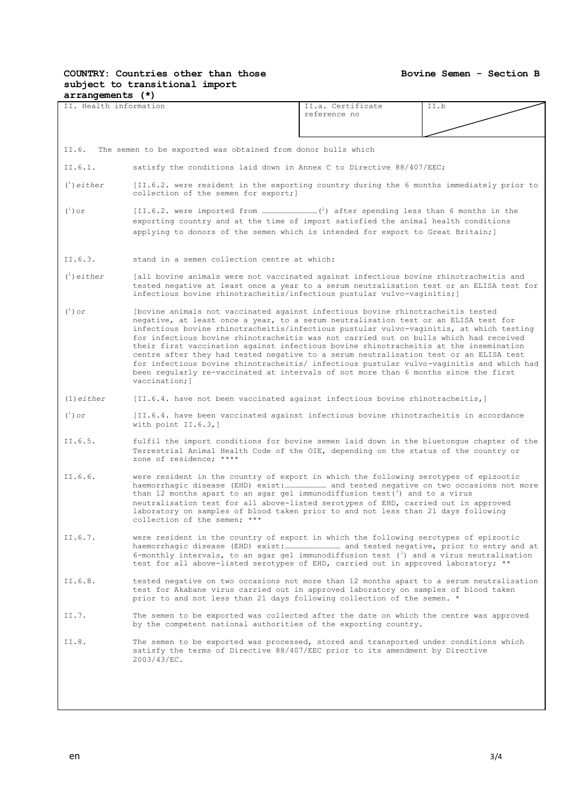# **COUNTRY: Countries other than those subject to transitional import**

| $arrangements$ $(*)$                            |                                                                                                                                                                                                                                                                                                                                                                                                                                                                                                                                                                                                                                                                                                                                                   |                                                                                                                                                                                                                                                               |      |  |  |
|-------------------------------------------------|---------------------------------------------------------------------------------------------------------------------------------------------------------------------------------------------------------------------------------------------------------------------------------------------------------------------------------------------------------------------------------------------------------------------------------------------------------------------------------------------------------------------------------------------------------------------------------------------------------------------------------------------------------------------------------------------------------------------------------------------------|---------------------------------------------------------------------------------------------------------------------------------------------------------------------------------------------------------------------------------------------------------------|------|--|--|
| II. Health information                          |                                                                                                                                                                                                                                                                                                                                                                                                                                                                                                                                                                                                                                                                                                                                                   | II.a. Certificate                                                                                                                                                                                                                                             | II.b |  |  |
|                                                 |                                                                                                                                                                                                                                                                                                                                                                                                                                                                                                                                                                                                                                                                                                                                                   | reference no                                                                                                                                                                                                                                                  |      |  |  |
|                                                 |                                                                                                                                                                                                                                                                                                                                                                                                                                                                                                                                                                                                                                                                                                                                                   |                                                                                                                                                                                                                                                               |      |  |  |
|                                                 |                                                                                                                                                                                                                                                                                                                                                                                                                                                                                                                                                                                                                                                                                                                                                   |                                                                                                                                                                                                                                                               |      |  |  |
| II.6.                                           | The semen to be exported was obtained from donor bulls which                                                                                                                                                                                                                                                                                                                                                                                                                                                                                                                                                                                                                                                                                      |                                                                                                                                                                                                                                                               |      |  |  |
| II.6.1.                                         | satisfy the conditions laid down in Annex C to Directive 88/407/EEC;                                                                                                                                                                                                                                                                                                                                                                                                                                                                                                                                                                                                                                                                              |                                                                                                                                                                                                                                                               |      |  |  |
| $\binom{1}{1}$ either                           | [II.6.2. were resident in the exporting country during the 6 months immediately prior to<br>collection of the semen for export; ]                                                                                                                                                                                                                                                                                                                                                                                                                                                                                                                                                                                                                 |                                                                                                                                                                                                                                                               |      |  |  |
| $(\begin{smallmatrix}1\\1\end{smallmatrix})$ or | exporting country and at the time of import satisfied the animal health conditions<br>applying to donors of the semen which is intended for export to Great Britain; ]                                                                                                                                                                                                                                                                                                                                                                                                                                                                                                                                                                            |                                                                                                                                                                                                                                                               |      |  |  |
| II.6.3.                                         | stand in a semen collection centre at which:                                                                                                                                                                                                                                                                                                                                                                                                                                                                                                                                                                                                                                                                                                      |                                                                                                                                                                                                                                                               |      |  |  |
| $\binom{1}{1}$ either                           |                                                                                                                                                                                                                                                                                                                                                                                                                                                                                                                                                                                                                                                                                                                                                   | [all bovine animals were not vaccinated against infectious bovine rhinotracheitis and<br>tested negative at least once a year to a serum neutralisation test or an ELISA test for<br>infectious bovine rhinotracheitis/infectious pustular vulvo-vaginitis; ] |      |  |  |
| $(^1)$ or                                       | (bovine animals not vaccinated against infectious bovine rhinotracheitis tested<br>negative, at least once a year, to a serum neutralisation test or an ELISA test for<br>infectious bovine rhinotracheitis/infectious pustular vulvo-vaginitis, at which testing<br>for infectious bovine rhinotracheitis was not carried out on bulls which had received<br>their first vaccination against infectious bovine rhinotracheitis at the insemination<br>centre after they had tested negative to a serum neutralisation test or an ELISA test<br>for infectious bovine rhinotracheitis/ infectious pustular vulvo-vaginitis and which had<br>been regularly re-vaccinated at intervals of not more than 6 months since the first<br>vaccination; 1 |                                                                                                                                                                                                                                                               |      |  |  |
| $(1)$ either                                    | [II.6.4. have not been vaccinated against infectious bovine rhinotracheitis,]                                                                                                                                                                                                                                                                                                                                                                                                                                                                                                                                                                                                                                                                     |                                                                                                                                                                                                                                                               |      |  |  |
| $(\begin{smallmatrix}1\\1\end{smallmatrix})$ or | [II.6.4. have been vaccinated against infectious bovine rhinotracheitis in accordance<br>with point II.6.3,]                                                                                                                                                                                                                                                                                                                                                                                                                                                                                                                                                                                                                                      |                                                                                                                                                                                                                                                               |      |  |  |
| II.6.5.                                         | fulfil the import conditions for bovine semen laid down in the bluetongue chapter of the<br>Terrestrial Animal Health Code of the OIE, depending on the status of the country or<br>zone of residence; ****                                                                                                                                                                                                                                                                                                                                                                                                                                                                                                                                       |                                                                                                                                                                                                                                                               |      |  |  |
| II.6.6.                                         | were resident in the country of export in which the following serotypes of epizootic<br>haemorrhagic disease (EHD) exist: and tested negative on two occasions not more<br>than 12 months apart to an agar gel immunodiffusion test( $3$ ) and to a virus<br>neutralisation test for all above-listed serotypes of EHD, carried out in approved<br>laboratory on samples of blood taken prior to and not less than 21 days following<br>collection of the semen; ***                                                                                                                                                                                                                                                                              |                                                                                                                                                                                                                                                               |      |  |  |
| II.6.7.                                         | were resident in the country of export in which the following serotypes of epizootic<br>6-monthly intervals, to an agar gel immunodiffusion test $(3)$ and a virus neutralisation<br>test for all above-listed serotypes of EHD, carried out in approved laboratory; **                                                                                                                                                                                                                                                                                                                                                                                                                                                                           |                                                                                                                                                                                                                                                               |      |  |  |
| II.6.8.                                         | tested negative on two occasions not more than 12 months apart to a serum neutralisation<br>test for Akabane virus carried out in approved laboratory on samples of blood taken<br>prior to and not less than 21 days following collection of the semen. *                                                                                                                                                                                                                                                                                                                                                                                                                                                                                        |                                                                                                                                                                                                                                                               |      |  |  |
| II.7.                                           | The semen to be exported was collected after the date on which the centre was approved<br>by the competent national authorities of the exporting country.                                                                                                                                                                                                                                                                                                                                                                                                                                                                                                                                                                                         |                                                                                                                                                                                                                                                               |      |  |  |
| II.8.                                           | The semen to be exported was processed, stored and transported under conditions which<br>satisfy the terms of Directive 88/407/EEC prior to its amendment by Directive<br>$2003/43/EC$ .                                                                                                                                                                                                                                                                                                                                                                                                                                                                                                                                                          |                                                                                                                                                                                                                                                               |      |  |  |
|                                                 |                                                                                                                                                                                                                                                                                                                                                                                                                                                                                                                                                                                                                                                                                                                                                   |                                                                                                                                                                                                                                                               |      |  |  |